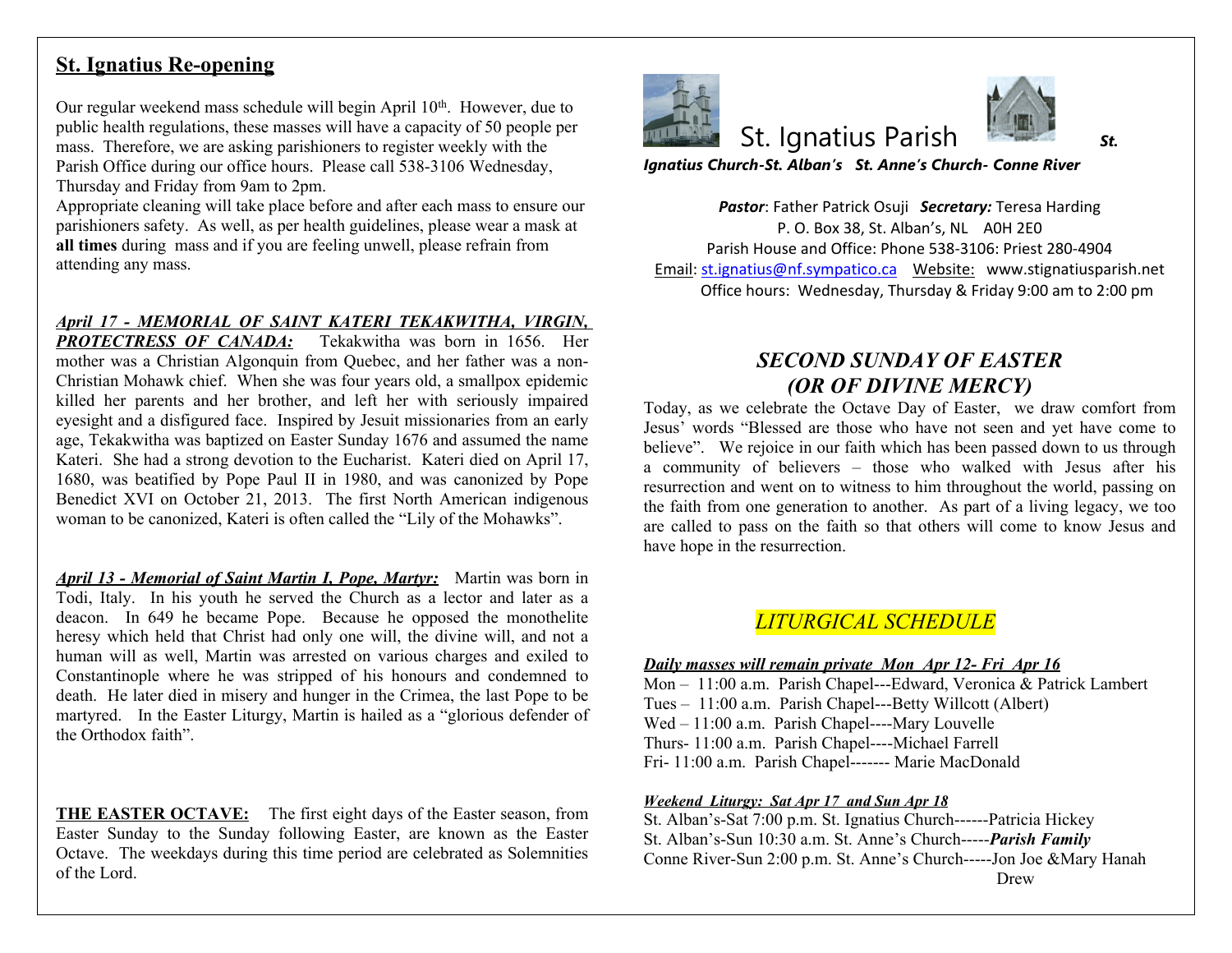## **St. Ignatius Re-opening**

Our regular weekend mass schedule will begin April 10<sup>th</sup>. However, due to public health regulations, these masses will have a capacity of 50 people per mass. Therefore, we are asking parishioners to register weekly with the Parish Office during our office hours. Please call 538-3106 Wednesday, Thursday and Friday from 9am to 2pm.

Appropriate cleaning will take place before and after each mass to ensure our parishioners safety. As well, as per health guidelines, please wear a mask at **all times** during mass and if you are feeling unwell, please refrain from attending any mass.

*April 17 - MEMORIAL OF SAINT KATERI TEKAKWITHA, VIRGIN, PROTECTRESS OF CANADA:* Tekakwitha was born in 1656. Her mother was a Christian Algonquin from Quebec, and her father was a non-Christian Mohawk chief. When she was four years old, a smallpox epidemic killed her parents and her brother, and left her with seriously impaired eyesight and a disfigured face. Inspired by Jesuit missionaries from an early age, Tekakwitha was baptized on Easter Sunday 1676 and assumed the name Kateri. She had a strong devotion to the Eucharist. Kateri died on April 17, 1680, was beatified by Pope Paul II in 1980, and was canonized by Pope Benedict XVI on October 21, 2013. The first North American indigenous woman to be canonized, Kateri is often called the "Lily of the Mohawks".

*April 13 - Memorial of Saint Martin I, Pope, Martyr:* Martin was born in Todi, Italy. In his youth he served the Church as a lector and later as a deacon. In 649 he became Pope. Because he opposed the monothelite heresy which held that Christ had only one will, the divine will, and not a human will as well, Martin was arrested on various charges and exiled to Constantinople where he was stripped of his honours and condemned to death. He later died in misery and hunger in the Crimea, the last Pope to be martyred. In the Easter Liturgy, Martin is hailed as a "glorious defender of the Orthodox faith".

**THE EASTER OCTAVE:** The first eight days of the Easter season, from Easter Sunday to the Sunday following Easter, are known as the Easter Octave. The weekdays during this time period are celebrated as Solemnities of the Lord.



St. Ignatius Parish *St.* 

*Ignatius Church-St. Alban's St. Anne's Ch* 

**Pastor: Father Patrick Osuji Secretary:** P. O. Box 38, St. Alban's, Parish House and Office: Phone 538 Email: st.ignatius@nf.sympatico.ca Webs Office hours: Wednesday, Thursday

## **SECOND SUNDAY** *(OR OF DIVINE)*

Today, as we celebrate the Octave Day of Jesus' words "Blessed are those who have believe". We rejoice in our faith which has a community of believers – those who resurrection and went on to witness to him t the faith from one generation to another. A are called to pass on the faith so that other have hope in the resurrection.

## $LITURGICAL \: SCHEL$

*<u>Daily masses will remain private Mon Apr*</u> Mon - 11:00 a.m. Parish Chapel---Edward, Tues - 11:00 a.m. Parish Chapel---Betty Wi Wed  $-11:00$  a.m. Parish Chapel----Mary Lo Thurs- 11:00 a.m. Parish Chapel----Michael Fri- 11:00 a.m. Parish Chapel------- Marie M

*Weekend Liturgy: Sat Apr 17 and Sun Apr 18* St. Alban's-Sat 7:00 p.m. St. Ignatius Church-St. Alban's-Sun 10:30 a.m. St. Anne's Church-Conne River-Sun 2:00 p.m. St. Anne's Church-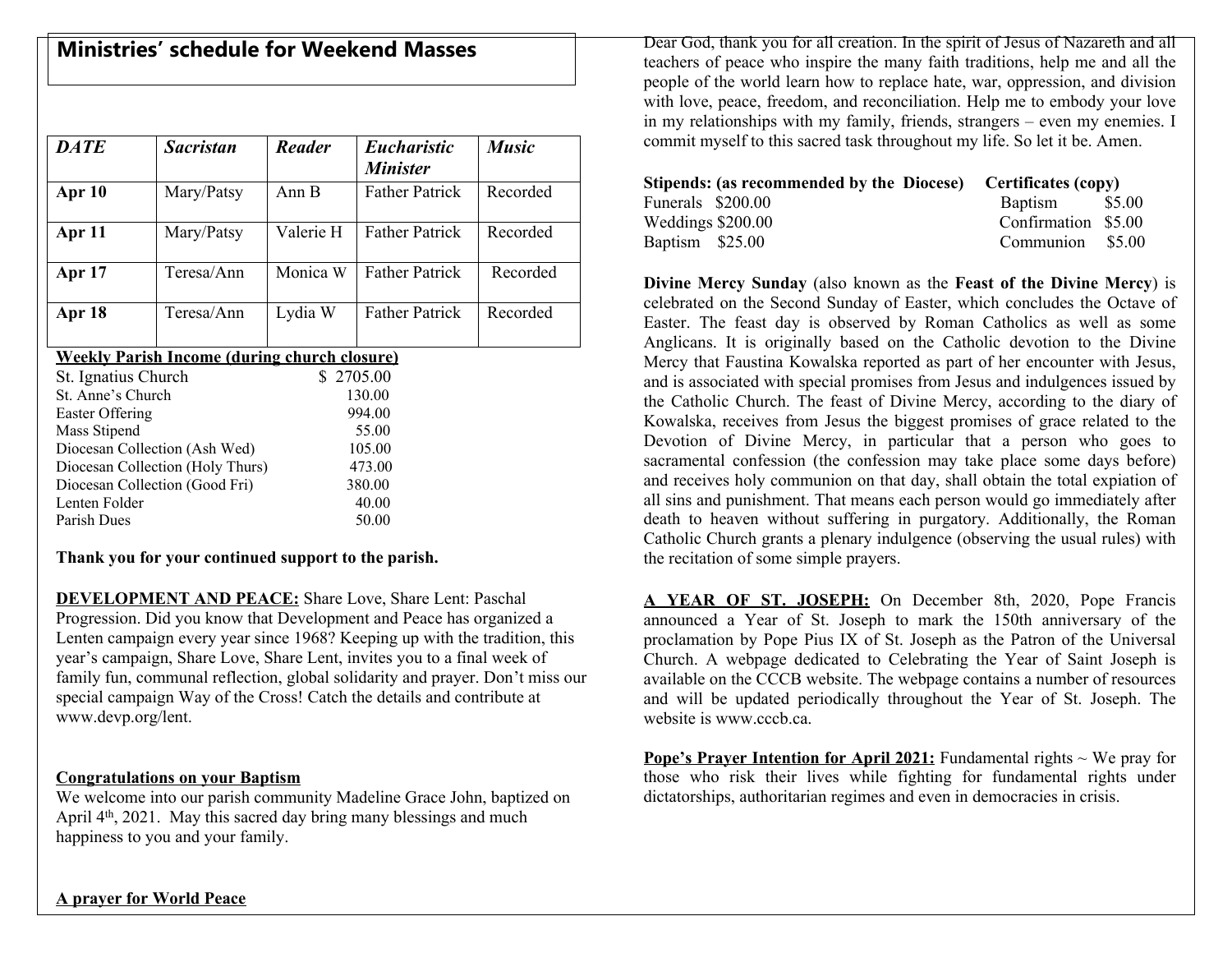# **Ministries' schedule for Weekend Masses**

| <b>DATE</b>                                         | <b>Sacristan</b> | <b>Reader</b> | <b>Eucharistic</b>    | <b>Music</b> |  |  |
|-----------------------------------------------------|------------------|---------------|-----------------------|--------------|--|--|
|                                                     |                  |               | <b>Minister</b>       |              |  |  |
| Apr 10                                              | Mary/Patsy       | Ann B         | <b>Father Patrick</b> | Recorded     |  |  |
| Apr 11                                              | Mary/Patsy       | Valerie H     | <b>Father Patrick</b> | Recorded     |  |  |
| <b>Apr</b> 17                                       | Teresa/Ann       | Monica W      | <b>Father Patrick</b> | Recorded     |  |  |
| Apr 18                                              | Teresa/Ann       | Lydia W       | <b>Father Patrick</b> | Recorded     |  |  |
| <b>Weekly Parish Income (during church closure)</b> |                  |               |                       |              |  |  |
| St. Ignatius Church                                 |                  | \$2705.00     |                       |              |  |  |
| St. Anne's Church                                   |                  | 130.00        |                       |              |  |  |
| Easter Offering                                     |                  | 994.00        |                       |              |  |  |
| Mass Stipend                                        |                  | 55.00         |                       |              |  |  |
| Diocesan Collection (Ash Wed)                       |                  | 105.00        |                       |              |  |  |
| Diocesan Collection (Holy Thurs)                    |                  | 473.00        |                       |              |  |  |
| Diocesan Collection (Good Fri)                      |                  | 380.00        |                       |              |  |  |
| Lenten Folder                                       |                  | 40.00         |                       |              |  |  |
| Parish Dues                                         |                  | 50.00         |                       |              |  |  |

**Thank you for your continued support to the parish.**

**DEVELOPMENT AND PEACE:** Share Love, Share Lent: Paschal Progression. Did you know that Development and Peace has organized a Lenten campaign every year since 1968? Keeping up with the tradition, this year's campaign, Share Love, Share Lent, invites you to a final week of family fun, communal reflection, global solidarity and prayer. Don't miss our special campaign Way of the Cross! Catch the details and contribute at www.devp.org/lent.

#### **Congratulations on your Baptism**

We welcome into our parish community Madeline Grace John, baptized on April 4th, 2021. May this sacred day bring many blessings and much happiness to you and your family.

Dear God, thank you for all creation. In the spirit of Jesus of Nazareth and all teachers of peace who inspire the many faith traditions, help me and all the people of the world learn how to replace hate, war, oppression, and division with love, peace, freedom, and reconciliation. Help me to embody your love in my relationships with my family, friends, strangers – even my enemies. I commit myself to this sacred task throughout my life. So let it be. Amen.

|                   | Stipends: (as recommended by the Diocese) Certificates (copy) |                     |  |
|-------------------|---------------------------------------------------------------|---------------------|--|
| Funerals \$200.00 |                                                               | Baptism \$5.00      |  |
| Weddings \$200.00 |                                                               | Confirmation \$5.00 |  |
| Baptism \$25.00   |                                                               | Communion \$5.00    |  |

**Divine Mercy Sunday** (also known as the **Feast of the Divine Mercy**) is celebrated on the Second Sunday of Easter, which concludes the Octave of Easter. The feast day is observed by Roman Catholics as well as some Anglicans. It is originally based on the Catholic devotion to the Divine Mercy that Faustina Kowalska reported as part of her encounter with Jesus, and is associated with special promises from Jesus and indulgences issued by the Catholic Church. The feast of Divine Mercy, according to the diary of Kowalska, receives from Jesus the biggest promises of grace related to the Devotion of Divine Mercy, in particular that a person who goes to sacramental confession (the confession may take place some days before) and receives holy communion on that day, shall obtain the total expiation of all sins and punishment. That means each person would go immediately after death to heaven without suffering in purgatory. Additionally, the Roman Catholic Church grants a plenary indulgence (observing the usual rules) with the recitation of some simple prayers.

**A YEAR OF ST. JOSEPH:** On December 8th, 2020, Pope Francis announced a Year of St. Joseph to mark the 150th anniversary of the proclamation by Pope Pius IX of St. Joseph as the Patron of the Universal Church. A webpage dedicated to Celebrating the Year of Saint Joseph is available on the CCCB website. The webpage contains a number of resources and will be updated periodically throughout the Year of St. Joseph. The website is www.cccb.ca.

**Pope's Prayer Intention for April 2021:** Fundamental rights ~ We pray for those who risk their lives while fighting for fundamental rights under dictatorships, authoritarian regimes and even in democracies in crisis.

**A prayer for World Peace**